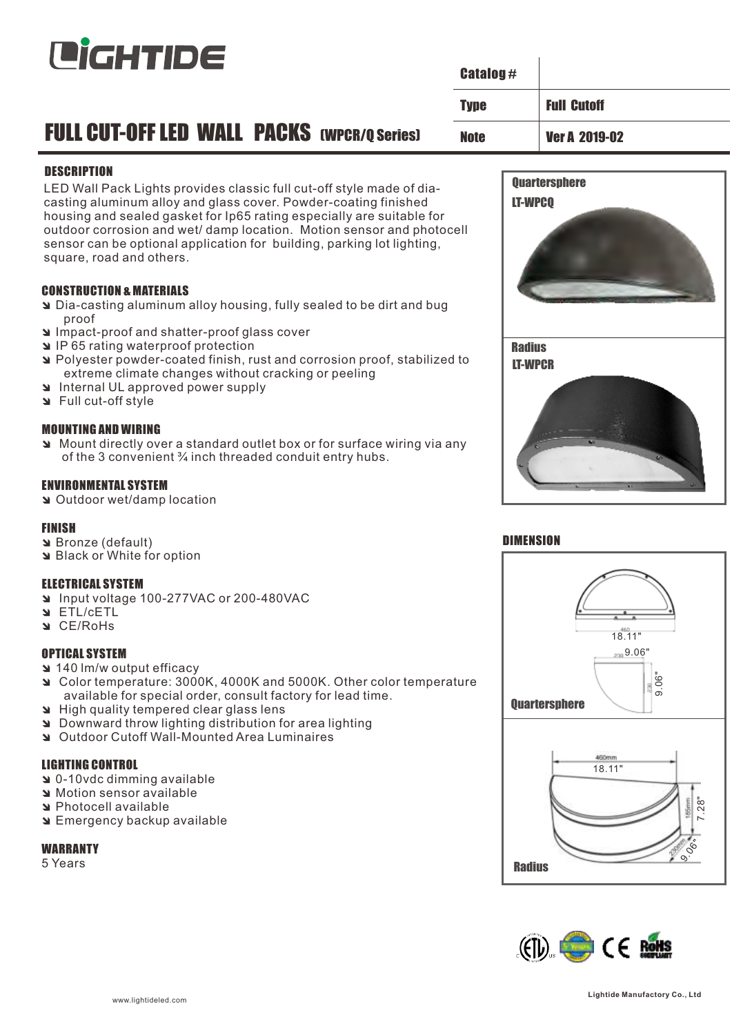

|                                                                                                                                                                                                                                                                                                                                                                                                                       |             | <b>Catalog #</b>                |                      |  |
|-----------------------------------------------------------------------------------------------------------------------------------------------------------------------------------------------------------------------------------------------------------------------------------------------------------------------------------------------------------------------------------------------------------------------|-------------|---------------------------------|----------------------|--|
|                                                                                                                                                                                                                                                                                                                                                                                                                       | <b>Type</b> |                                 | <b>Full Cutoff</b>   |  |
| <b>FULL CUT-OFF LED WALL PACKS (WPCR/Q Series)</b><br><b>Note</b>                                                                                                                                                                                                                                                                                                                                                     |             |                                 | <b>Ver A 2019-02</b> |  |
| <b>DESCRIPTION</b><br>LED Wall Pack Lights provides classic full cut-off style made of dia-<br>casting aluminum alloy and glass cover. Powder-coating finished<br>housing and sealed gasket for Ip65 rating especially are suitable for<br>outdoor corrosion and wet/damp location. Motion sensor and photocell<br>sensor can be optional application for building, parking lot lighting,<br>square, road and others. |             | LT-WPCQ                         | <b>Quartersphere</b> |  |
| <b>CONSTRUCTION &amp; MATERIALS</b><br>Dia-casting aluminum alloy housing, fully sealed to be dirt and bug<br>proof<br>Impact-proof and shatter-proof glass cover<br>IP65 rating waterproof protection<br>Polyester powder-coated finish, rust and corrosion proof, stabilized to<br>extreme climate changes without cracking or peeling<br>Internal UL approved power supply<br>Style Full cut-off style             |             | <b>Radius</b><br><b>LT-WPCR</b> |                      |  |
| <b>MOUNTING AND WIRING</b><br>Mount directly over a standard outlet box or for surface wiring via any<br>of the 3 convenient 3/4 inch threaded conduit entry hubs.                                                                                                                                                                                                                                                    |             |                                 |                      |  |

### ENVIRONMENTAL SYSTEM

**N** Outdoor wet/damp location

#### FINISH

- **N** Bronze (default)
- **N** Black or White for option

#### ELECTRICAL SYSTEM

- î Input voltage 100-277VAC or 200-480VAC
- **N** ETL/CETL
- **N** CE/RoHs

### OPTICAL SYSTEM

- **a** 140 lm/w output efficacy
- î Color temperature: 3000K, 4000K and 5000K. Other color temperature available for special order, consult factory for lead time.
- **a** High quality tempered clear glass lens
- î Downward throw lighting distribution for area lighting
- î Outdoor Cutoff Wall-Mounted Area Luminaires

# LIGHTING CONTROL

- **a** 0-10vdc dimming available
- **Notion sensor available**
- a Photocell available
- **N** Emergency backup available

# **WARRANTY**

5 Years



 $\overline{1}$